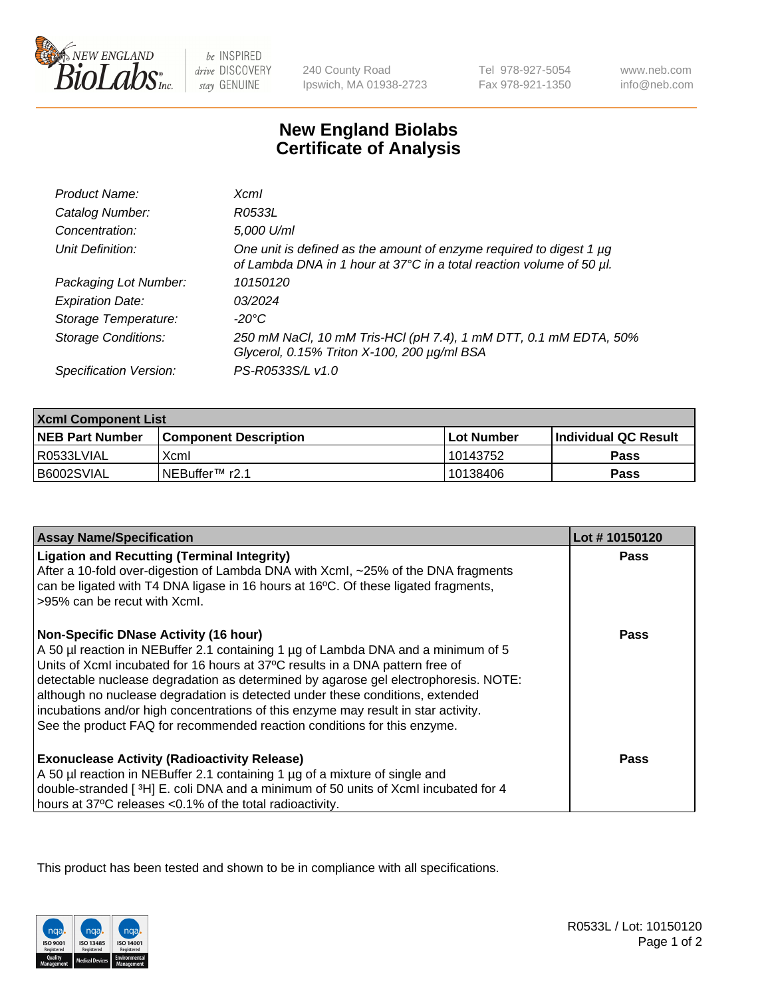

 $be$  INSPIRED drive DISCOVERY stay GENUINE

240 County Road Ipswich, MA 01938-2723 Tel 978-927-5054 Fax 978-921-1350

www.neb.com info@neb.com

## **New England Biolabs Certificate of Analysis**

| Product Name:              | Xcml                                                                                                                                        |
|----------------------------|---------------------------------------------------------------------------------------------------------------------------------------------|
| Catalog Number:            | R0533L                                                                                                                                      |
| Concentration:             | 5,000 U/ml                                                                                                                                  |
| Unit Definition:           | One unit is defined as the amount of enzyme required to digest 1 µg<br>of Lambda DNA in 1 hour at 37°C in a total reaction volume of 50 µl. |
| Packaging Lot Number:      | 10150120                                                                                                                                    |
| <b>Expiration Date:</b>    | 03/2024                                                                                                                                     |
| Storage Temperature:       | -20°C                                                                                                                                       |
| <b>Storage Conditions:</b> | 250 mM NaCl, 10 mM Tris-HCl (pH 7.4), 1 mM DTT, 0.1 mM EDTA, 50%<br>Glycerol, 0.15% Triton X-100, 200 µg/ml BSA                             |
| Specification Version:     | PS-R0533S/L v1.0                                                                                                                            |

| <b>Xcml Component List</b> |                              |                   |                       |  |
|----------------------------|------------------------------|-------------------|-----------------------|--|
| <b>NEB Part Number</b>     | <b>Component Description</b> | <b>Lot Number</b> | ∣Individual QC Result |  |
| R0533LVIAL                 | Xcml                         | 10143752          | <b>Pass</b>           |  |
| B6002SVIAL                 | INEBuffer™ r2.1              | 10138406          | Pass                  |  |

| <b>Assay Name/Specification</b>                                                                                                                                                                                                                                                                                                                                                                                                                                                                                                                              | Lot #10150120 |
|--------------------------------------------------------------------------------------------------------------------------------------------------------------------------------------------------------------------------------------------------------------------------------------------------------------------------------------------------------------------------------------------------------------------------------------------------------------------------------------------------------------------------------------------------------------|---------------|
| <b>Ligation and Recutting (Terminal Integrity)</b><br>After a 10-fold over-digestion of Lambda DNA with Xcml, ~25% of the DNA fragments<br>can be ligated with T4 DNA ligase in 16 hours at 16°C. Of these ligated fragments,<br>>95% can be recut with Xcml.                                                                                                                                                                                                                                                                                                | <b>Pass</b>   |
| <b>Non-Specific DNase Activity (16 hour)</b><br>A 50 µl reaction in NEBuffer 2.1 containing 1 µg of Lambda DNA and a minimum of 5<br>Units of XcmI incubated for 16 hours at 37°C results in a DNA pattern free of<br>detectable nuclease degradation as determined by agarose gel electrophoresis. NOTE:<br>although no nuclease degradation is detected under these conditions, extended<br>incubations and/or high concentrations of this enzyme may result in star activity.<br>See the product FAQ for recommended reaction conditions for this enzyme. | Pass          |
| <b>Exonuclease Activity (Radioactivity Release)</b><br>A 50 µl reaction in NEBuffer 2.1 containing 1 µg of a mixture of single and<br>double-stranded [3H] E. coli DNA and a minimum of 50 units of Xcml incubated for 4<br>hours at 37°C releases <0.1% of the total radioactivity.                                                                                                                                                                                                                                                                         | Pass          |

This product has been tested and shown to be in compliance with all specifications.